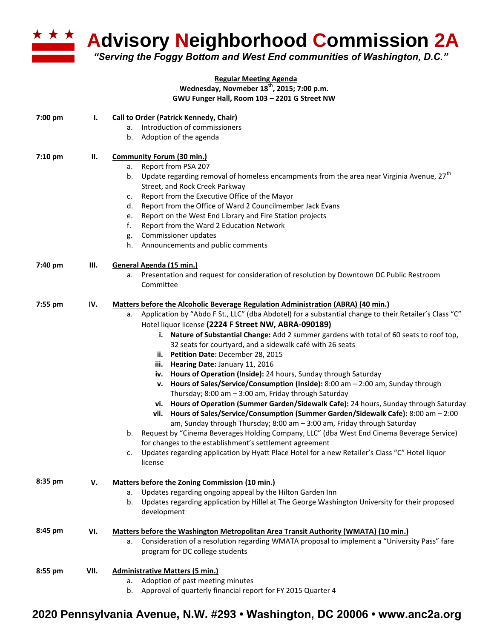

**Advisory Neighborhood Commission 2A**

*"Serving the Foggy Bottom and West End communities of Washington, D.C."*

## **Regular Meeting Agenda Wednesday, Novmeber 18th, 2015; 7:00 p.m. GWU Funger Hall, Room 103 – 2201 G Street NW**

| 7:00 pm | Ι.   | <b>Call to Order (Patrick Kennedy, Chair)</b>                                                                                                                                    |
|---------|------|----------------------------------------------------------------------------------------------------------------------------------------------------------------------------------|
|         |      | Introduction of commissioners<br>a.                                                                                                                                              |
|         |      | Adoption of the agenda<br>b.                                                                                                                                                     |
| 7:10 pm | П.   | <b>Community Forum (30 min.)</b>                                                                                                                                                 |
|         |      | Report from PSA 207<br>а.                                                                                                                                                        |
|         |      | Update regarding removal of homeless encampments from the area near Virginia Avenue, 27 <sup>th</sup><br>b.<br>Street, and Rock Creek Parkway                                    |
|         |      | Report from the Executive Office of the Mayor<br>c.                                                                                                                              |
|         |      | Report from the Office of Ward 2 Councilmember Jack Evans<br>d.                                                                                                                  |
|         |      | Report on the West End Library and Fire Station projects<br>e.                                                                                                                   |
|         |      | Report from the Ward 2 Education Network<br>f.                                                                                                                                   |
|         |      | Commissioner updates<br>g.                                                                                                                                                       |
|         |      | Announcements and public comments<br>h.                                                                                                                                          |
| 7:40 pm | Ш.   | General Agenda (15 min.)                                                                                                                                                         |
|         |      | a. Presentation and request for consideration of resolution by Downtown DC Public Restroom                                                                                       |
|         |      | Committee                                                                                                                                                                        |
| 7:55 pm | IV.  | Matters before the Alcoholic Beverage Regulation Administration (ABRA) (40 min.)                                                                                                 |
|         |      | "Application by "Abdo F St., LLC" (dba Abdotel) for a substantial change to their Retailer's Class "C<br>а.                                                                      |
|         |      | Hotel liquor license (2224 F Street NW, ABRA-090189)                                                                                                                             |
|         |      | i. Nature of Substantial Change: Add 2 summer gardens with total of 60 seats to roof top,                                                                                        |
|         |      | 32 seats for courtyard, and a sidewalk café with 26 seats                                                                                                                        |
|         |      | ii. Petition Date: December 28, 2015                                                                                                                                             |
|         |      | iii. Hearing Date: January 11, 2016                                                                                                                                              |
|         |      | iv. Hours of Operation (Inside): 24 hours, Sunday through Saturday                                                                                                               |
|         |      | Hours of Sales/Service/Consumption (Inside): 8:00 am - 2:00 am, Sunday through<br>v.                                                                                             |
|         |      | Thursday; 8:00 am - 3:00 am, Friday through Saturday                                                                                                                             |
|         |      | vi. Hours of Operation (Summer Garden/Sidewalk Cafe): 24 hours, Sunday through Saturday<br>vii. Hours of Sales/Service/Consumption (Summer Garden/Sidewalk Cafe): 8:00 am - 2:00 |
|         |      | am, Sunday through Thursday; 8:00 am - 3:00 am, Friday through Saturday                                                                                                          |
|         |      | Request by "Cinema Beverages Holding Company, LLC" (dba West End Cinema Beverage Service)<br>b.                                                                                  |
|         |      | for changes to the establishment's settlement agreement                                                                                                                          |
|         |      | Updates regarding application by Hyatt Place Hotel for a new Retailer's Class "C" Hotel liquor<br>c.<br>license                                                                  |
| 8:35 pm | v.   | Matters before the Zoning Commission (10 min.)                                                                                                                                   |
|         |      | Updates regarding ongoing appeal by the Hilton Garden Inn<br>a.                                                                                                                  |
|         |      | Updates regarding application by Hillel at The George Washington University for their proposed<br>b.                                                                             |
|         |      | development                                                                                                                                                                      |
| 8:45 pm | VI.  | <b>Matters before the Washington Metropolitan Area Transit Authority (WMATA) (10 min.)</b>                                                                                       |
|         |      | Consideration of a resolution regarding WMATA proposal to implement a "University Pass" fare<br>а.                                                                               |
|         |      | program for DC college students                                                                                                                                                  |
| 8:55 pm | VII. | <b>Administrative Matters (5 min.)</b>                                                                                                                                           |
|         |      | Adoption of past meeting minutes<br>а.                                                                                                                                           |
|         |      | Approval of quarterly financial report for FY 2015 Quarter 4<br>b.                                                                                                               |

## **2020 Pennsylvania Avenue, N.W. #293 • Washington, DC 20006 • www.anc2a.org**